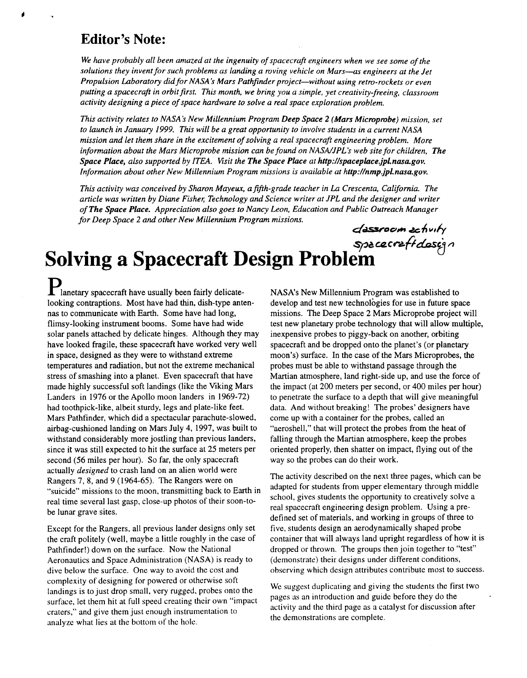### **Editor's Note:**

We have probably all been amazed at the ingenuity of spacecraft engineers when we see some of the *solutions they invent for such problems as landing a roving vehicle on Mars-as engineers at the Jet Propulsion Laboratory did for NASA's Mars Pathfinder project-without using retro-rockets or even*  putting a spacecraft in orbit first. This month, we bring you a simple, yet creativity-freeing, classroom *activity designing a piece of space hardware to solve a real space exploration problem.* 

*This activity relates to NASA's New Millennium Program Deep Space* **2** *(Mars Microprobe) mission, set to launch in January 1999. This will be a great opportunity to involve students in a current NASA mission and let them share in the excitement of solving a real spacecrajl engineering problem. More*  information about the Mars Microprobe mission can be found on NASA/JPL's web site for children, The *Space Place, also supported by ITEA. Visit the The Space Place at http://spaceplace.jpl.nasa.gov. Information about other New Millennium Program missions is available at http://nmp.jpl.nasa.gov.* 

*This activity was conceived by Sharon Mayeux, a fifth-grade teacher in La Crescenta, California. The article was written by Diane Fisher; Technology and Science writer at JPL and the designer and writer of The Space Place. Appreciation also goes to Nancy Leon, Education and Public Outreach Manager for Deep Space* **2** *and other New Millennium Program missions. dlou\* ahvrty* 

### *\$p&CQCr.fidUS&?*  **Solving a Spacecraft Design Problem**

**P**<br>lanetary spacecraft have usually been fairly delicatelooking contraptions. Most have had thin, dish-type antennas to communicate with Earth. Some have had long, flimsy-looking instrument booms. Some have had wide solar panels attached by delicate hinges. Although they may have looked fragile, these spacecraft have worked very well in space, designed as they were to withstand extreme temperatures and radiation, but not the extreme mechanical stress of smashing into a planet. Even spacecraft that have made highly successful soft landings (like the Viking Mars Landers in 1976 or the Apollo moon landers in 1969-72) had toothpick-like, albeit sturdy, legs and plate-like feet. Mars Pathfinder, which did a spectacular parachute-slowed, airbag-cushioned landing on Mars July 4, 1997, was built to withstand considerably more jostling than previous landers, since it was still expected to hit the surface at 25 meters per second (56 miles per hour). So far, the only spacecraft actually *designed* to crash land on an alien world were Rangers 7, **8,** and 9 (1964-65). The Rangers were on "suicide" missions to the moon, transmitting back to Earth in real time several last gasp, close-up photos of their soon-tobe lunar grave sites.

Except for the Rangers, all previous lander designs only set the craft politely (well, maybe a little roughly in the case of Pathfinder!) down on the surface. Now the National Aeronautics and Space Administration (NASA) is ready to dive below the surface. One way to avoid the cost and complexity of designing for powered or otherwise soft landings is to just drop small, very rugged, probes onto the surface, let them hit at full speed creating their own "impact craters," and give them just enough instrumentation to analyze what lies at the bottom of the hole.

NASA's New Millennium Program was established to develop and test new technologies for use in future space missions. The Deep Space **2** Mars Microprobe project will test new planetary probe technology that will allow multiple, inexpensive probes to piggy-back on another, orbiting spacecraft and be dropped onto the planet's (or planetary moon's) surface. In the case of the Mars Microprobes, the probes must be able to withstand passage through the Martian atmosphere, land right-side up, and use the force of the impact (at 200 meters per second, or 400 miles per hour) to penetrate the surface to a depth that will give meaningful data. And without breaking! The probes' designers have come up with a container for the probes, called an "aeroshell," that will protect the probes from the heat of falling through the Martian atmosphere, keep the probes oriented properly, then shatter on impact, flying out of the way so the probes can do their work.

The activity described on the next three pages, which can be adapted for students from upper elementary through middle school, gives students the opportunity to creatively solve a real spacecraft engineering design problem. Using a predefined set of materials, and working in groups of three to five, students design an aerodynamically shaped probe container that will always land upright regardless of how it is dropped or thrown. The groups then join together to "test" (demonstrate) their designs under different conditions, observing which design attributes contribute most to success.

We suggest duplicating and giving the students the first two pages as an introduction and guide before they do the activity and the third page as a catalyst for discussion after the demonstrations are complete.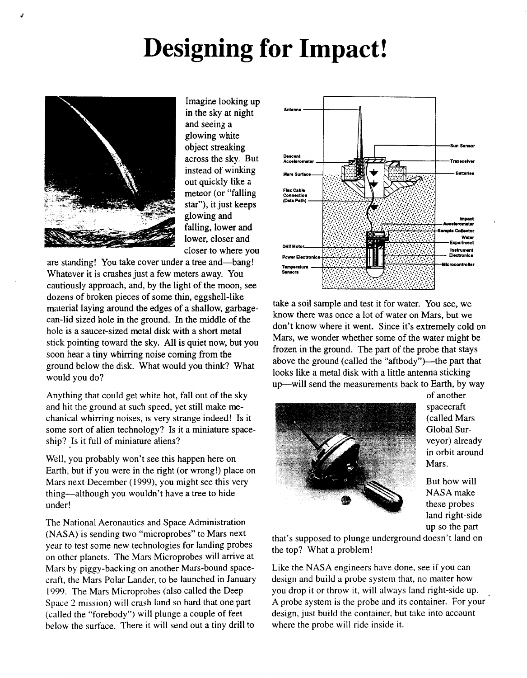## **Designing for Impact!**



Imagine looking up in the sky at night and seeing a glowing white object streaking across the sky. But instead of winking out quickly like a meteor (or "falling star"), it just keeps glowing and falling, lower and lower, closer and closer to where you

are standing! You take cover under a tree and-bang! Whatever it is crashes just a few meters away. You cautiously approach, and, by the light of the moon, see dozens of broken pieces of some thin, eggshell-like material laying around the edges of a shallow, garbagecan-lid sized hole in the ground. In the middle of the hole is a saucer-sized metal disk with a short metal stick pointing toward the sky. All is quiet now, but you soon hear **a** tiny whirring noise coming from the ground below the disk. What would you think? What would you do?

Anything that could get white hot, fall out of the sky and hit the ground at such speed, yet still make mechanical whirring noises, is very strange indeed! Is it some sort of alien technology? Is it a miniature spaceship? Is it full of miniature aliens?

Well, you probably won't see this happen here on Earth, but if you were in the right (or wrong!) place on Mars next December (1999), you might see this very thing-although you wouldn't have **a** tree to hide under!

The National Aeronautics and Space Administration (NASA) is sending two "microprobes" to Mars next year to test some new technologies for landing probes on other planets. The Mars Microprobes will arrive at Mars by piggy-backing on another Mars-bound spacecraft, the Mars Polar Lander, to be launched in January 1999. The Mars Microprobes (also called the Deep Space 2 mission) will crash land so hard that one part (called the "forebody") will plunge **a** couple of feet below the surface. There it will send out a tiny drill to



take a soil sample and test it for water. You see, we know there was once **a** lot of water on Mars, but we don't know where it went. Since it's extremely cold on Mars, we wonder whether some of the water might be frozen in the ground. The part of the probe that stays above the ground (called the "aftbody")--- the part that looks like a metal disk with a little antenna sticking up-will send the measurements back to Earth, by way



of another spacecraft (called Mars Global Surveyor) already in orbit around Mars.

But how will NASA make these probes land right-side up so the part

that's supposed to plunge underground doesn't land on the top? What a problem!

Like the NASA engineers have done, see if you can design and build **a** probe system that, no matter how you drop it or throw it, will always land right-side up. A probe system is the probe and its container. For your design, just build the container, but take into account where the probe will ride inside it.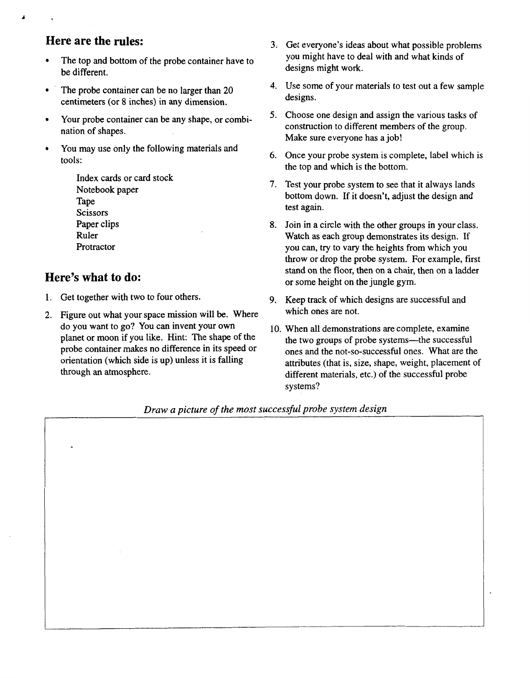#### **Here are the rules:**

&

- The top and bottom of the probe container have **to**   $\bullet$ be different.
- ' The probe container can be no larger than **20**   $\bullet$ centimeters (or 8 inches) in any dimension.
- Your probe container can be any shape, or combi- $\bullet$ nation of shapes.
- You may use only the following materials and  $\bullet$ tools:

Index cards or card stock Notebook paper Tape Scissors Paper clips Ruler Protractor

#### **Here's what to do:**

- **1.** Get together with two to four others.
- **2.** Figure out what your space mission will be. Where do you want to go? You can invent your own planet or moon if you like. Hint: The shape of the probe container makes no difference in its speed or orientation (which side is up) unless it is falling through an atmosphere.
- 3. Get everyone's ideas about what possible problems you might have to deal with and what kinds of designs might work.
- **4.**  Use some of your materials **to** test out a few sample designs.
- **5.**  Choose one design and assign the various tasks of construction to different members of the group. Make sure everyone has a job!
- *6.*  Once your probe system is complete, label which is the top and which is the bottom.
- **7.**  Test your probe system to see that it always lands bottom down. If it doesn't, adjust the design and test again.
- 8. Join in a circle with the other groups in your class. Watch as each group demonstrates its design. If you can, try to vary the heights from which you throw or drop the probe system. For example, first stand on the floor, then on a chair, then on a ladder or some height on the jungle gym.
- 9. Keep track of which designs are successful and which ones are not.
- **10**  When all demonstrations are complete, examine the two groups of probe systems-the successful ones and the not-so-successful ones. What are the attributes (that is, size, shape, weight, placement of different materials, etc.) of the successful probe systems?

 $\ddot{\phantom{a}}$ 

*Draw a picture of the most successful probe system design*